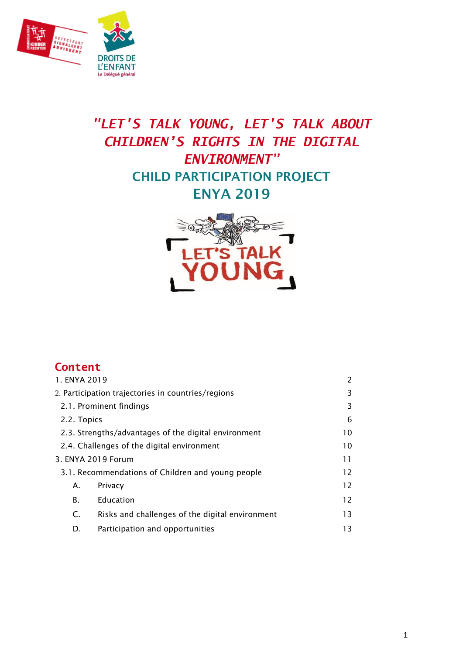

# *"LET'S TALK YOUNG, LET'S TALK ABOUT CHILDREN'S RIGHTS IN THE DIGITAL ENVIRONMENT"* **CHILD PARTICIPATION PROJECT ENYA 2019**



| Content                                           |  |
|---------------------------------------------------|--|
| 1. ENYA 2019                                      |  |
| 2 Particination trajectories in countries/regions |  |

| 2. Participation trajectories in countries/regions         |                                                 |    |  |  |
|------------------------------------------------------------|-------------------------------------------------|----|--|--|
| 2.1. Prominent findings                                    |                                                 |    |  |  |
| 2.2. Topics                                                |                                                 |    |  |  |
| 2.3. Strengths/advantages of the digital environment<br>10 |                                                 |    |  |  |
| 2.4. Challenges of the digital environment<br>10           |                                                 |    |  |  |
| 3. ENYA 2019 Forum<br>11                                   |                                                 |    |  |  |
| 3.1. Recommendations of Children and young people<br>12    |                                                 |    |  |  |
| 12<br>Privacy<br>А.                                        |                                                 |    |  |  |
| В.                                                         | Education                                       | 12 |  |  |
| C.                                                         | Risks and challenges of the digital environment | 13 |  |  |
| D.                                                         | Participation and opportunities<br>13           |    |  |  |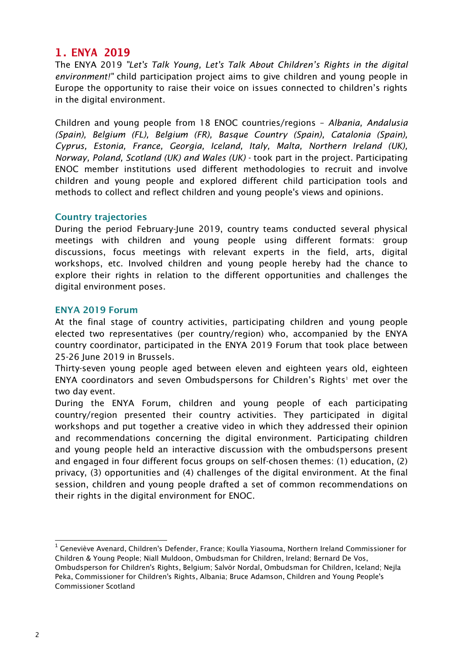# <span id="page-1-0"></span>**1. ENYA 2019**

The ENYA 2019 *"Let's Talk Young, Let's Talk About Children's Rights in the digital environment!"* child participation project aims to give children and young people in Europe the opportunity to raise their voice on issues connected to children's rights in the digital environment.

Children and young people from 18 ENOC countries/regions – *Albania, Andalusia (Spain), Belgium (FL), Belgium (FR), Basque Country (Spain), Catalonia (Spain), Cyprus, Estonia, France, Georgia, Iceland, Italy, Malta, Northern Ireland (UK), Norway, Poland, Scotland (UK) and Wales (UK)* - took part in the project. Participating ENOC member institutions used different methodologies to recruit and involve children and young people and explored different child participation tools and methods to collect and reflect children and young people's views and opinions.

#### **Country trajectories**

During the period February-June 2019, country teams conducted several physical meetings with children and young people using different formats: group discussions, focus meetings with relevant experts in the field, arts, digital workshops, etc. Involved children and young people hereby had the chance to explore their rights in relation to the different opportunities and challenges the digital environment poses.

#### **ENYA 2019 Forum**

At the final stage of country activities, participating children and young people elected two representatives (per country/region) who, accompanied by the ENYA country coordinator, participated in the ENYA 2019 Forum that took place between 25-26 June 2019 in Brussels.

Thirty-seven young people aged between eleven and eighteen years old, eighteen ENYA coordinators and seven Ombudspersons for Children's Rights<sup>1</sup> met over the two day event.

During the ENYA Forum, children and young people of each participating country/region presented their country activities. They participated in digital workshops and put together a creative video in which they addressed their opinion and recommendations concerning the digital environment. Participating children and young people held an interactive discussion with the ombudspersons present and engaged in four different focus groups on self-chosen themes: (1) education, (2) privacy, (3) opportunities and (4) challenges of the digital environment. At the final session, children and young people drafted a set of common recommendations on their rights in the digital environment for ENOC.

1

 $^{\rm 1}$  Geneviève Avenard, Children's Defender, France; Koulla Yiasouma, Northern Ireland Commissioner for Children & Young People; Niall Muldoon, Ombudsman for Children, Ireland; Bernard De Vos, Ombudsperson for Children's Rights, Belgium; Salvör Nordal, Ombudsman for Children, Iceland; Nejla Peka, Commissioner for Children's Rights, Albania; Bruce Adamson, Children and Young People's Commissioner Scotland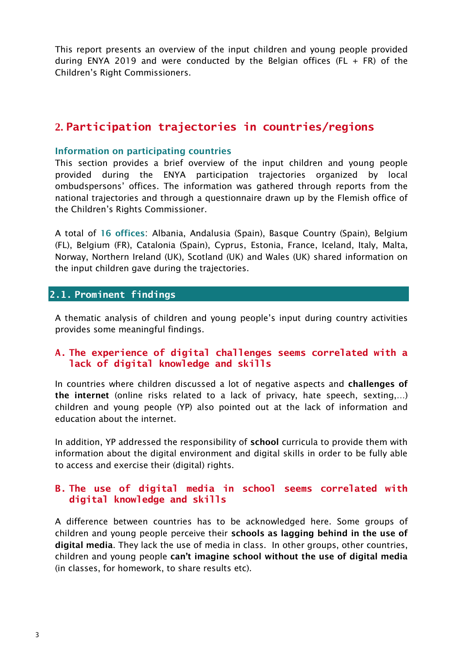This report presents an overview of the input children and young people provided during ENYA 2019 and were conducted by the Belgian offices (FL  $+$  FR) of the Children's Right Commissioners.

# <span id="page-2-0"></span>**2. Participation trajectories in countries/regions**

#### **Information on participating countries**

This section provides a brief overview of the input children and young people provided during the ENYA participation trajectories organized by local ombudspersons' offices. The information was gathered through reports from the national trajectories and through a questionnaire drawn up by the Flemish office of the Children's Rights Commissioner.

A total of **16 offices**: Albania, Andalusia (Spain), Basque Country (Spain), Belgium (FL), Belgium (FR), Catalonia (Spain), Cyprus, Estonia, France, Iceland, Italy, Malta, Norway, Northern Ireland (UK), Scotland (UK) and Wales (UK) shared information on the input children gave during the trajectories.

#### <span id="page-2-1"></span>**2.1. Prominent findings**

A thematic analysis of children and young people's input during country activities provides some meaningful findings.

#### **A. The experience of digital challenges seems correlated with a lack of digital knowledge and skills**

In countries where children discussed a lot of negative aspects and **challenges of the internet** (online risks related to a lack of privacy, hate speech, sexting,…) children and young people (YP) also pointed out at the lack of information and education about the internet.

In addition, YP addressed the responsibility of **school** curricula to provide them with information about the digital environment and digital skills in order to be fully able to access and exercise their (digital) rights.

#### **B. The use of digital media in school seems correlated with digital knowledge and skills**

A difference between countries has to be acknowledged here. Some groups of children and young people perceive their **schools as lagging behind in the use of digital media**. They lack the use of media in class. In other groups, other countries, children and young people **can't imagine school without the use of digital media** (in classes, for homework, to share results etc).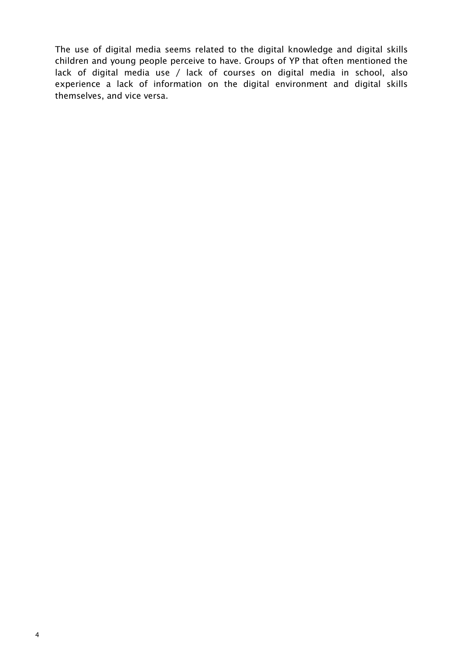The use of digital media seems related to the digital knowledge and digital skills children and young people perceive to have. Groups of YP that often mentioned the lack of digital media use / lack of courses on digital media in school, also experience a lack of information on the digital environment and digital skills themselves, and vice versa.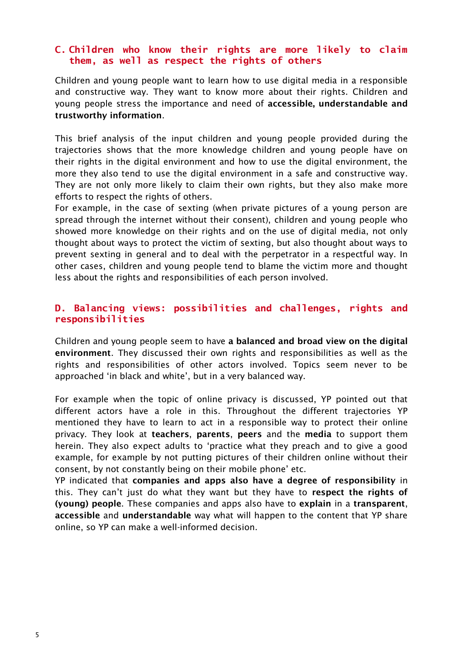#### **C. Children who know their rights are more likely to claim them, as well as respect the rights of others**

Children and young people want to learn how to use digital media in a responsible and constructive way. They want to know more about their rights. Children and young people stress the importance and need of **accessible, understandable and trustworthy information**.

This brief analysis of the input children and young people provided during the trajectories shows that the more knowledge children and young people have on their rights in the digital environment and how to use the digital environment, the more they also tend to use the digital environment in a safe and constructive way. They are not only more likely to claim their own rights, but they also make more efforts to respect the rights of others.

For example, in the case of sexting (when private pictures of a young person are spread through the internet without their consent), children and young people who showed more knowledge on their rights and on the use of digital media, not only thought about ways to protect the victim of sexting, but also thought about ways to prevent sexting in general and to deal with the perpetrator in a respectful way. In other cases, children and young people tend to blame the victim more and thought less about the rights and responsibilities of each person involved.

#### **D. Balancing views: possibilities and challenges, rights and responsibilities**

Children and young people seem to have **a balanced and broad view on the digital environment**. They discussed their own rights and responsibilities as well as the rights and responsibilities of other actors involved. Topics seem never to be approached 'in black and white', but in a very balanced way.

For example when the topic of online privacy is discussed, YP pointed out that different actors have a role in this. Throughout the different trajectories YP mentioned they have to learn to act in a responsible way to protect their online privacy. They look at **teachers**, **parents**, **peers** and the **media** to support them herein. They also expect adults to 'practice what they preach and to give a good example, for example by not putting pictures of their children online without their consent, by not constantly being on their mobile phone' etc.

YP indicated that **companies and apps also have a degree of responsibility** in this. They can't just do what they want but they have to **respect the rights of (young) people**. These companies and apps also have to **explain** in a **transparent**, **accessible** and **understandable** way what will happen to the content that YP share online, so YP can make a well-informed decision.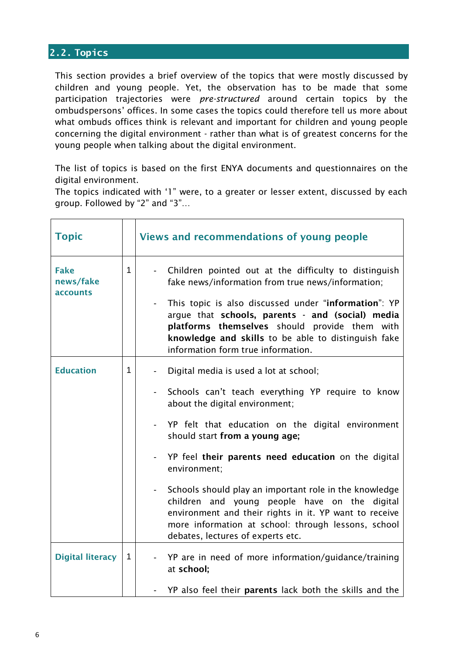# <span id="page-5-0"></span>**2.2. Topics**

This section provides a brief overview of the topics that were mostly discussed by children and young people. Yet, the observation has to be made that some participation trajectories were *pre-structured* around certain topics by the ombudspersons' offices. In some cases the topics could therefore tell us more about what ombuds offices think is relevant and important for children and young people concerning the digital environment - rather than what is of greatest concerns for the young people when talking about the digital environment.

The list of topics is based on the first ENYA documents and questionnaires on the digital environment.

The topics indicated with '1" were, to a greater or lesser extent, discussed by each group. Followed by "2" and "3"…

| <b>Topic</b>                         |              | Views and recommendations of young people                                                                                                                                                                                                                                                                                                                                                                                                                                                                                                                                                                            |
|--------------------------------------|--------------|----------------------------------------------------------------------------------------------------------------------------------------------------------------------------------------------------------------------------------------------------------------------------------------------------------------------------------------------------------------------------------------------------------------------------------------------------------------------------------------------------------------------------------------------------------------------------------------------------------------------|
| <b>Fake</b><br>news/fake<br>accounts | $\mathbf{1}$ | Children pointed out at the difficulty to distinguish<br>$\blacksquare$<br>fake news/information from true news/information;<br>This topic is also discussed under "information": YP<br>$\overline{\phantom{a}}$<br>argue that schools, parents - and (social) media<br>platforms themselves should provide them with<br>knowledge and skills to be able to distinguish fake<br>information form true information.                                                                                                                                                                                                   |
| <b>Education</b>                     | 1            | Digital media is used a lot at school;<br>$\overline{\phantom{a}}$<br>Schools can't teach everything YP require to know<br>$\overline{\phantom{a}}$<br>about the digital environment;<br>YP felt that education on the digital environment<br>should start from a young age;<br>YP feel their parents need education on the digital<br>environment;<br>Schools should play an important role in the knowledge<br>children and young people have on the digital<br>environment and their rights in it. YP want to receive<br>more information at school: through lessons, school<br>debates, lectures of experts etc. |
| <b>Digital literacy</b>              | $\mathbf{1}$ | YP are in need of more information/guidance/training<br>$\blacksquare$<br>at school;<br>YP also feel their parents lack both the skills and the                                                                                                                                                                                                                                                                                                                                                                                                                                                                      |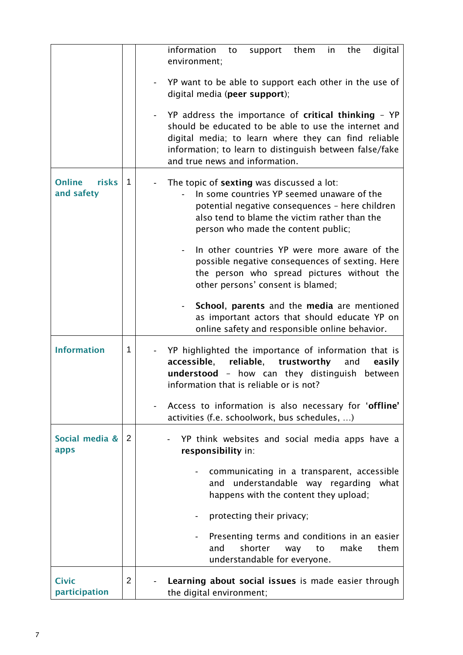|                                             |             | information<br>digital<br>support them in<br>the<br>to<br>environment;                                                                                                                                                                                            |
|---------------------------------------------|-------------|-------------------------------------------------------------------------------------------------------------------------------------------------------------------------------------------------------------------------------------------------------------------|
|                                             |             | YP want to be able to support each other in the use of<br>digital media (peer support);                                                                                                                                                                           |
|                                             |             | YP address the importance of critical thinking - YP<br>should be educated to be able to use the internet and<br>digital media; to learn where they can find reliable<br>information; to learn to distinguish between false/fake<br>and true news and information. |
| <b>risks</b><br><b>Online</b><br>and safety | $\mathbf 1$ | The topic of sexting was discussed a lot:<br>In some countries YP seemed unaware of the<br>potential negative consequences - here children<br>also tend to blame the victim rather than the<br>person who made the content public;                                |
|                                             |             | In other countries YP were more aware of the<br>possible negative consequences of sexting. Here<br>the person who spread pictures without the<br>other persons' consent is blamed;                                                                                |
|                                             |             | School, parents and the media are mentioned<br>$\blacksquare$<br>as important actors that should educate YP on<br>online safety and responsible online behavior.                                                                                                  |
| <b>Information</b>                          | 1           | YP highlighted the importance of information that is<br>reliable,<br>accessible,<br>trustworthy<br>and<br>easily<br>understood - how can they distinguish between<br>information that is reliable or is not?                                                      |
|                                             |             | Access to information is also necessary for 'offline'<br>activities (f.e. schoolwork, bus schedules, )                                                                                                                                                            |
| Social media &<br>apps                      | 2           | YP think websites and social media apps have a<br>responsibility in:                                                                                                                                                                                              |
|                                             |             | communicating in a transparent, accessible<br>understandable way regarding<br>and<br>what<br>happens with the content they upload;                                                                                                                                |
|                                             |             | protecting their privacy;                                                                                                                                                                                                                                         |
|                                             |             | Presenting terms and conditions in an easier<br>shorter<br>and<br>make<br>them<br>to<br>way<br>understandable for everyone.                                                                                                                                       |
| <b>Civic</b><br>participation               | 2           | Learning about social issues is made easier through<br>the digital environment;                                                                                                                                                                                   |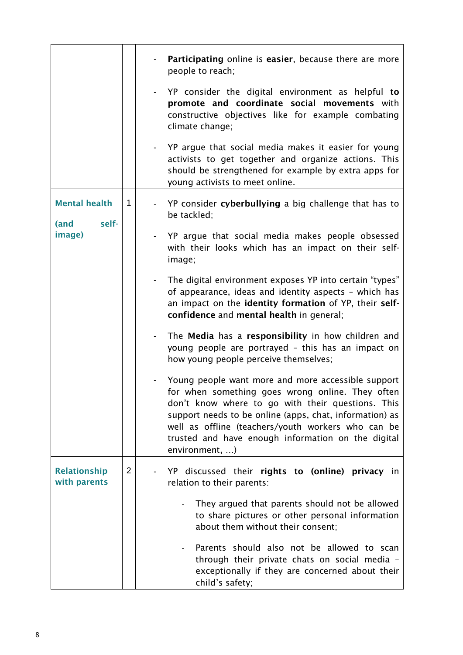|                                       |   | Participating online is easier, because there are more<br>people to reach;                                                                                                                                                                                                                                                                           |
|---------------------------------------|---|------------------------------------------------------------------------------------------------------------------------------------------------------------------------------------------------------------------------------------------------------------------------------------------------------------------------------------------------------|
|                                       |   | YP consider the digital environment as helpful to<br>promote and coordinate social movements with<br>constructive objectives like for example combating<br>climate change;                                                                                                                                                                           |
|                                       |   | YP argue that social media makes it easier for young<br>activists to get together and organize actions. This<br>should be strengthened for example by extra apps for<br>young activists to meet online.                                                                                                                                              |
| <b>Mental health</b><br>self-<br>(and | 1 | YP consider cyberbullying a big challenge that has to<br>be tackled;                                                                                                                                                                                                                                                                                 |
| image)                                |   | YP argue that social media makes people obsessed<br>with their looks which has an impact on their self-<br>image;                                                                                                                                                                                                                                    |
|                                       |   | The digital environment exposes YP into certain "types"<br>$\blacksquare$<br>of appearance, ideas and identity aspects - which has<br>an impact on the identity formation of YP, their self-<br>confidence and mental health in general;                                                                                                             |
|                                       |   | The Media has a responsibility in how children and<br>$\blacksquare$<br>young people are portrayed - this has an impact on<br>how young people perceive themselves;                                                                                                                                                                                  |
|                                       |   | Young people want more and more accessible support<br>for when something goes wrong online. They often<br>don't know where to go with their questions. This<br>support needs to be online (apps, chat, information) as<br>well as offline (teachers/youth workers who can be<br>trusted and have enough information on the digital<br>environment, ) |
| <b>Relationship</b><br>with parents   | 2 | YP discussed their rights to (online) privacy in<br>relation to their parents:                                                                                                                                                                                                                                                                       |
|                                       |   | They argued that parents should not be allowed<br>to share pictures or other personal information<br>about them without their consent;                                                                                                                                                                                                               |
|                                       |   | Parents should also not be allowed to scan<br>through their private chats on social media -<br>exceptionally if they are concerned about their<br>child's safety;                                                                                                                                                                                    |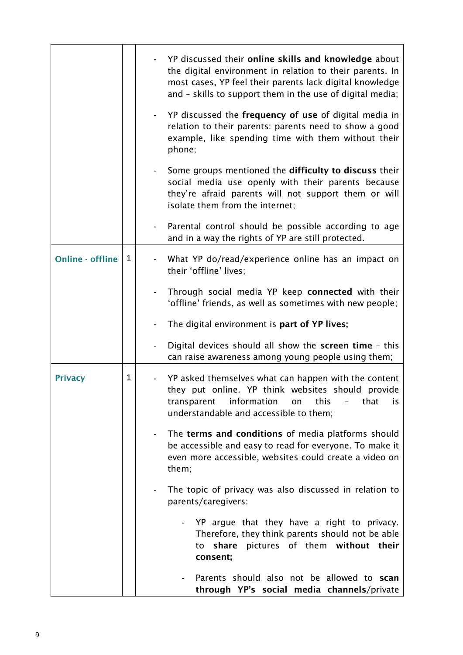|                         |   |                          | YP discussed their online skills and knowledge about<br>the digital environment in relation to their parents. In<br>most cases, YP feel their parents lack digital knowledge<br>and - skills to support them in the use of digital media;<br>YP discussed the frequency of use of digital media in<br>relation to their parents: parents need to show a good<br>example, like spending time with them without their<br>phone;<br>Some groups mentioned the difficulty to discuss their |
|-------------------------|---|--------------------------|----------------------------------------------------------------------------------------------------------------------------------------------------------------------------------------------------------------------------------------------------------------------------------------------------------------------------------------------------------------------------------------------------------------------------------------------------------------------------------------|
|                         |   |                          | social media use openly with their parents because<br>they're afraid parents will not support them or will<br>isolate them from the internet;                                                                                                                                                                                                                                                                                                                                          |
|                         |   |                          | Parental control should be possible according to age<br>and in a way the rights of YP are still protected.                                                                                                                                                                                                                                                                                                                                                                             |
| <b>Online - offline</b> | 1 |                          | What YP do/read/experience online has an impact on<br>their 'offline' lives;                                                                                                                                                                                                                                                                                                                                                                                                           |
|                         |   |                          | Through social media YP keep connected with their<br>'offline' friends, as well as sometimes with new people;                                                                                                                                                                                                                                                                                                                                                                          |
|                         |   |                          | The digital environment is part of YP lives;                                                                                                                                                                                                                                                                                                                                                                                                                                           |
|                         |   |                          | Digital devices should all show the screen time - this<br>can raise awareness among young people using them;                                                                                                                                                                                                                                                                                                                                                                           |
| <b>Privacy</b>          | 1 |                          | YP asked themselves what can happen with the content<br>they put online. YP think websites should provide<br>information<br>this<br>that<br>transparent<br>on<br>İS.<br>$\overline{\phantom{a}}$<br>understandable and accessible to them;                                                                                                                                                                                                                                             |
|                         |   | $\overline{\phantom{a}}$ | The terms and conditions of media platforms should<br>be accessible and easy to read for everyone. To make it<br>even more accessible, websites could create a video on<br>them;                                                                                                                                                                                                                                                                                                       |
|                         |   |                          | The topic of privacy was also discussed in relation to<br>parents/caregivers:                                                                                                                                                                                                                                                                                                                                                                                                          |
|                         |   |                          | YP argue that they have a right to privacy.<br>Therefore, they think parents should not be able<br>pictures of them without their<br>share<br>to<br>consent;                                                                                                                                                                                                                                                                                                                           |
|                         |   |                          | Parents should also not be allowed to scan<br>through YP's social media channels/private                                                                                                                                                                                                                                                                                                                                                                                               |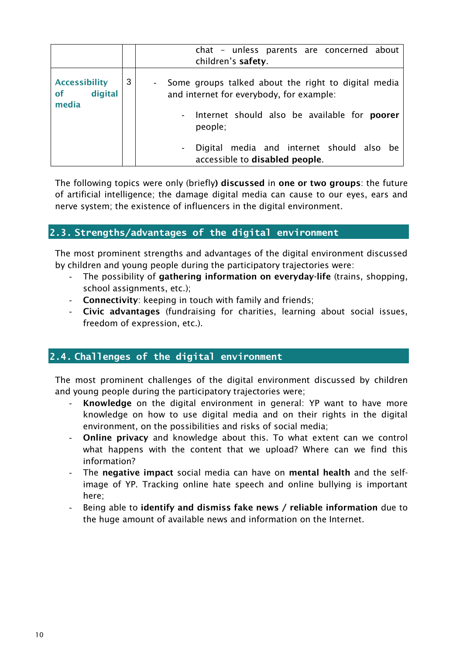|                                                |   | chat – unless parents are concerned about<br>children's safety.                                                                                          |
|------------------------------------------------|---|----------------------------------------------------------------------------------------------------------------------------------------------------------|
| <b>Accessibility</b><br>digital<br>of<br>media | 3 | Some groups talked about the right to digital media<br>and internet for everybody, for example:<br>- Internet should also be available for <b>poorer</b> |
|                                                |   | people;                                                                                                                                                  |
|                                                |   | Digital media and internet should also be<br>accessible to disabled people.                                                                              |

The following topics were only (briefly**) discussed** in **one or two groups**: the future of artificial intelligence; the damage digital media can cause to our eyes, ears and nerve system; the existence of influencers in the digital environment.

# <span id="page-9-0"></span>**2.3. Strengths/advantages of the digital environment**

The most prominent strengths and advantages of the digital environment discussed by children and young people during the participatory trajectories were:

- The possibility of **gathering information on everyday-life** (trains, shopping, school assignments, etc.);
- **Connectivity**: keeping in touch with family and friends;
- **Civic advantages** (fundraising for charities, learning about social issues, freedom of expression, etc.).

# <span id="page-9-1"></span>**2.4. Challenges of the digital environment**

The most prominent challenges of the digital environment discussed by children and young people during the participatory trajectories were;

- **Knowledge** on the digital environment in general: YP want to have more knowledge on how to use digital media and on their rights in the digital environment, on the possibilities and risks of social media;
- **Online privacy** and knowledge about this. To what extent can we control what happens with the content that we upload? Where can we find this information?
- The **negative impact** social media can have on **mental health** and the selfimage of YP. Tracking online hate speech and online bullying is important here;
- Being able to **identify and dismiss fake news / reliable information** due to the huge amount of available news and information on the Internet.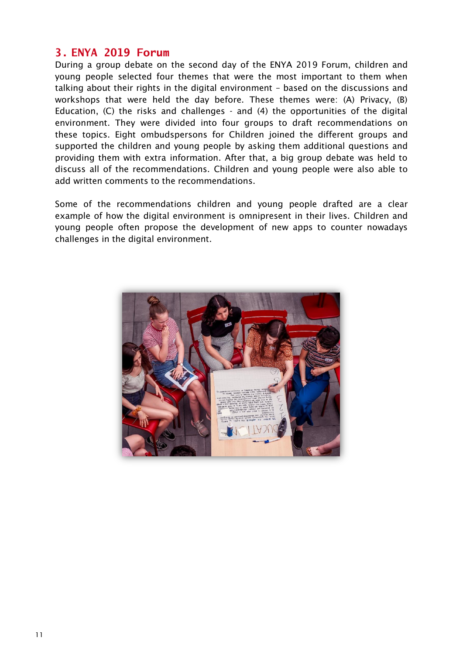### <span id="page-10-0"></span>**3. ENYA 2019 Forum**

During a group debate on the second day of the ENYA 2019 Forum, children and young people selected four themes that were the most important to them when talking about their rights in the digital environment – based on the discussions and workshops that were held the day before. These themes were: (A) Privacy, (B) Education, (C) the risks and challenges - and (4) the opportunities of the digital environment. They were divided into four groups to draft recommendations on these topics. Eight ombudspersons for Children joined the different groups and supported the children and young people by asking them additional questions and providing them with extra information. After that, a big group debate was held to discuss all of the recommendations. Children and young people were also able to add written comments to the recommendations.

Some of the recommendations children and young people drafted are a clear example of how the digital environment is omnipresent in their lives. Children and young people often propose the development of new apps to counter nowadays challenges in the digital environment.

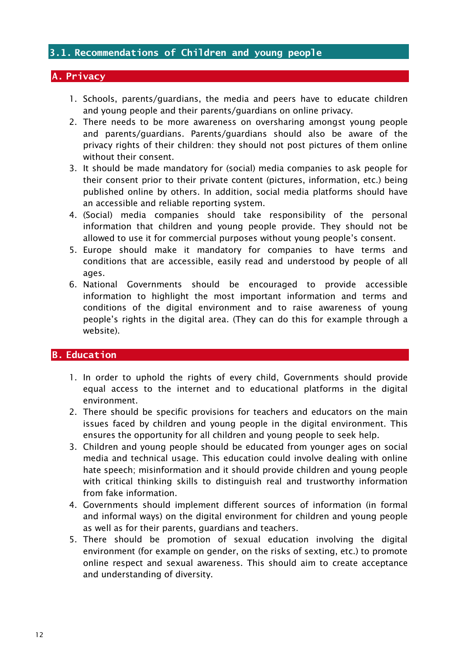#### <span id="page-11-0"></span>**3.1. Recommendations of Children and young people**

#### <span id="page-11-1"></span>**A. Privacy**

- 1. Schools, parents/guardians, the media and peers have to educate children and young people and their parents/guardians on online privacy.
- 2. There needs to be more awareness on oversharing amongst young people and parents/guardians. Parents/guardians should also be aware of the privacy rights of their children: they should not post pictures of them online without their consent.
- 3. It should be made mandatory for (social) media companies to ask people for their consent prior to their private content (pictures, information, etc.) being published online by others. In addition, social media platforms should have an accessible and reliable reporting system.
- 4. (Social) media companies should take responsibility of the personal information that children and young people provide. They should not be allowed to use it for commercial purposes without young people's consent.
- 5. Europe should make it mandatory for companies to have terms and conditions that are accessible, easily read and understood by people of all ages.
- 6. National Governments should be encouraged to provide accessible information to highlight the most important information and terms and conditions of the digital environment and to raise awareness of young people's rights in the digital area. (They can do this for example through a website).

#### <span id="page-11-2"></span>**B. Education**

- 1. In order to uphold the rights of every child, Governments should provide equal access to the internet and to educational platforms in the digital environment.
- 2. There should be specific provisions for teachers and educators on the main issues faced by children and young people in the digital environment. This ensures the opportunity for all children and young people to seek help.
- 3. Children and young people should be educated from younger ages on social media and technical usage. This education could involve dealing with online hate speech; misinformation and it should provide children and young people with critical thinking skills to distinguish real and trustworthy information from fake information.
- 4. Governments should implement different sources of information (in formal and informal ways) on the digital environment for children and young people as well as for their parents, guardians and teachers.
- 5. There should be promotion of sexual education involving the digital environment (for example on gender, on the risks of sexting, etc.) to promote online respect and sexual awareness. This should aim to create acceptance and understanding of diversity.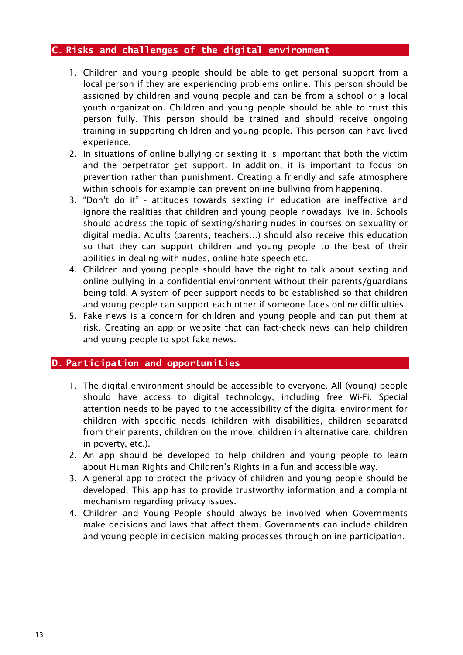#### <span id="page-12-0"></span>**C. Risks and challenges of the digital environment**

- 1. Children and young people should be able to get personal support from a local person if they are experiencing problems online. This person should be assigned by children and young people and can be from a school or a local youth organization. Children and young people should be able to trust this person fully. This person should be trained and should receive ongoing training in supporting children and young people. This person can have lived experience.
- 2. In situations of online bullying or sexting it is important that both the victim and the perpetrator get support. In addition, it is important to focus on prevention rather than punishment. Creating a friendly and safe atmosphere within schools for example can prevent online bullying from happening.
- 3. "Don't do it" attitudes towards sexting in education are ineffective and ignore the realities that children and young people nowadays live in. Schools should address the topic of sexting/sharing nudes in courses on sexuality or digital media. Adults (parents, teachers…) should also receive this education so that they can support children and young people to the best of their abilities in dealing with nudes, online hate speech etc.
- 4. Children and young people should have the right to talk about sexting and online bullying in a confidential environment without their parents/guardians being told. A system of peer support needs to be established so that children and young people can support each other if someone faces online difficulties.
- 5. Fake news is a concern for children and young people and can put them at risk. Creating an app or website that can fact-check news can help children and young people to spot fake news.

#### <span id="page-12-1"></span>**D. Participation and opportunities**

- 1. The digital environment should be accessible to everyone. All (young) people should have access to digital technology, including free Wi-Fi. Special attention needs to be payed to the accessibility of the digital environment for children with specific needs (children with disabilities, children separated from their parents, children on the move, children in alternative care, children in poverty, etc.).
- 2. An app should be developed to help children and young people to learn about Human Rights and Children's Rights in a fun and accessible way.
- 3. A general app to protect the privacy of children and young people should be developed. This app has to provide trustworthy information and a complaint mechanism regarding privacy issues.
- 4. Children and Young People should always be involved when Governments make decisions and laws that affect them. Governments can include children and young people in decision making processes through online participation.